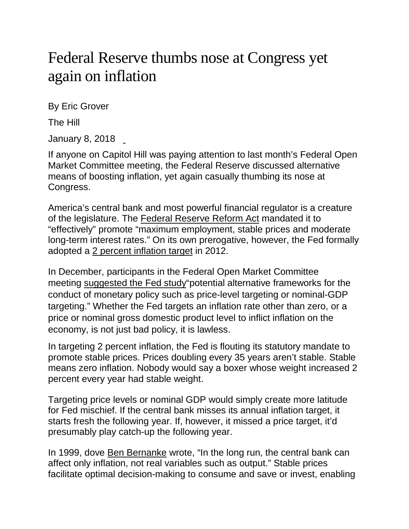## Federal Reserve thumbs nose at Congress yet again on inflation

By Eric Grover

The Hill

January 8, 2018

If anyone on Capitol Hill was paying attention to last month's Federal Open Market Committee meeting, the Federal Reserve discussed alternative means of boosting inflation, yet again casually thumbing its nose at Congress.

America's central bank and most powerful financial regulator is a creature of the legislature. The [Federal Reserve Reform Act](https://fraser.stlouisfed.org/scribd/?title_id=1040&filepath=/files/docs/historical/congressional/federal-reserve-reform-1977.pdf) mandated it to "effectively" promote "maximum employment, stable prices and moderate long-term interest rates." On its own prerogative, however, the Fed formally adopted a 2 percent [inflation target](https://www.federalreserve.gov/monetarypolicy/files/fomcminutes20120125.pdf) in 2012.

In December, participants in the Federal Open Market Committee meeting [suggested the Fed study"](https://www.federalreserve.gov/monetarypolicy/files/fomcminutes20171213.pdf)potential alternative frameworks for the conduct of monetary policy such as price-level targeting or nominal-GDP targeting." Whether the Fed targets an inflation rate other than zero, or a price or nominal gross domestic product level to inflict inflation on the economy, is not just bad policy, it is lawless.

In targeting 2 percent inflation, the Fed is flouting its statutory mandate to promote stable prices. Prices doubling every 35 years aren't stable. Stable means zero inflation. Nobody would say a boxer whose weight increased 2 percent every year had stable weight.

Targeting price levels or nominal GDP would simply create more latitude for Fed mischief. If the central bank misses its annual inflation target, it starts fresh the following year. If, however, it missed a price target, it'd presumably play catch-up the following year.

In 1999, dove [Ben Bernanke](https://press.princeton.edu/titles/6380.html) wrote, "In the long run, the central bank can affect only inflation, not real variables such as output." Stable prices facilitate optimal decision-making to consume and save or invest, enabling